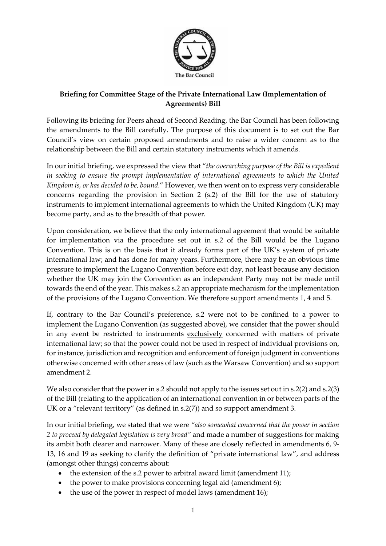

## **Briefing for Committee Stage of the Private International Law (Implementation of Agreements) Bill**

Following its briefing for Peers ahead of Second Reading, the Bar Council has been following the amendments to the Bill carefully. The purpose of this document is to set out the Bar Council's view on certain proposed amendments and to raise a wider concern as to the relationship between the Bill and certain statutory instruments which it amends.

In our initial briefing, we expressed the view that "*the overarching purpose of the Bill is expedient in seeking to ensure the prompt implementation of international agreements to which the United Kingdom is, or has decided to be, bound.*" However, we then went on to express very considerable concerns regarding the provision in Section 2 (s.2) of the Bill for the use of statutory instruments to implement international agreements to which the United Kingdom (UK) may become party, and as to the breadth of that power.

Upon consideration, we believe that the only international agreement that would be suitable for implementation via the procedure set out in s.2 of the Bill would be the Lugano Convention. This is on the basis that it already forms part of the UK's system of private international law; and has done for many years. Furthermore, there may be an obvious time pressure to implement the Lugano Convention before exit day, not least because any decision whether the UK may join the Convention as an independent Party may not be made until towards the end of the year. This makes s.2 an appropriate mechanism for the implementation of the provisions of the Lugano Convention. We therefore support amendments 1, 4 and 5.

If, contrary to the Bar Council's preference, s.2 were not to be confined to a power to implement the Lugano Convention (as suggested above), we consider that the power should in any event be restricted to instruments exclusively concerned with matters of private international law; so that the power could not be used in respect of individual provisions on, for instance, jurisdiction and recognition and enforcement of foreign judgment in conventions otherwise concerned with other areas of law (such as the Warsaw Convention) and so support amendment 2.

We also consider that the power in s.2 should not apply to the issues set out in s.2(2) and s.2(3) of the Bill (relating to the application of an international convention in or between parts of the UK or a "relevant territory" (as defined in s.2(7)) and so support amendment 3.

In our initial briefing, we stated that we were *"also somewhat concerned that the power in section 2 to proceed by delegated legislation is very broad"* and made a number of suggestions for making its ambit both clearer and narrower. Many of these are closely reflected in amendments 6, 9- 13, 16 and 19 as seeking to clarify the definition of "private international law", and address (amongst other things) concerns about:

- the extension of the s.2 power to arbitral award limit (amendment 11);
- the power to make provisions concerning legal aid (amendment 6);
- the use of the power in respect of model laws (amendment 16);